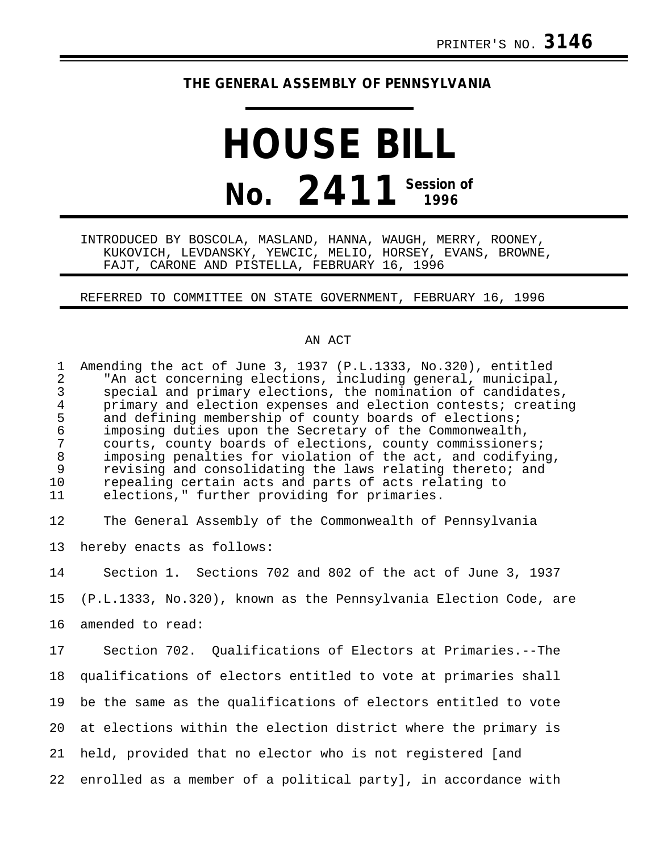## **THE GENERAL ASSEMBLY OF PENNSYLVANIA**

## **HOUSE BILL No. 2411 Session of 1996**

INTRODUCED BY BOSCOLA, MASLAND, HANNA, WAUGH, MERRY, ROONEY, KUKOVICH, LEVDANSKY, YEWCIC, MELIO, HORSEY, EVANS, BROWNE, FAJT, CARONE AND PISTELLA, FEBRUARY 16, 1996

REFERRED TO COMMITTEE ON STATE GOVERNMENT, FEBRUARY 16, 1996

## AN ACT

| $\mathbf 1$<br>$\overline{2}$<br>$\mathfrak{Z}$<br>$\overline{4}$<br>5<br>$\epsilon$<br>$\overline{7}$<br>$\,8\,$<br>9<br>10<br>11 | Amending the act of June 3, 1937 (P.L.1333, No.320), entitled<br>"An act concerning elections, including general, municipal,<br>special and primary elections, the nomination of candidates,<br>primary and election expenses and election contests; creating<br>and defining membership of county boards of elections;<br>imposing duties upon the Secretary of the Commonwealth,<br>courts, county boards of elections, county commissioners;<br>imposing penalties for violation of the act, and codifying,<br>revising and consolidating the laws relating thereto; and<br>repealing certain acts and parts of acts relating to<br>elections," further providing for primaries. |
|------------------------------------------------------------------------------------------------------------------------------------|-------------------------------------------------------------------------------------------------------------------------------------------------------------------------------------------------------------------------------------------------------------------------------------------------------------------------------------------------------------------------------------------------------------------------------------------------------------------------------------------------------------------------------------------------------------------------------------------------------------------------------------------------------------------------------------|
| 12                                                                                                                                 | The General Assembly of the Commonwealth of Pennsylvania                                                                                                                                                                                                                                                                                                                                                                                                                                                                                                                                                                                                                            |
| 13                                                                                                                                 | hereby enacts as follows:                                                                                                                                                                                                                                                                                                                                                                                                                                                                                                                                                                                                                                                           |
| 14                                                                                                                                 | Section 1. Sections 702 and 802 of the act of June 3, 1937                                                                                                                                                                                                                                                                                                                                                                                                                                                                                                                                                                                                                          |
| 15                                                                                                                                 | (P.L.1333, No.320), known as the Pennsylvania Election Code, are                                                                                                                                                                                                                                                                                                                                                                                                                                                                                                                                                                                                                    |
| 16                                                                                                                                 | amended to read:                                                                                                                                                                                                                                                                                                                                                                                                                                                                                                                                                                                                                                                                    |
| 17                                                                                                                                 | Section 702. Qualifications of Electors at Primaries.--The                                                                                                                                                                                                                                                                                                                                                                                                                                                                                                                                                                                                                          |
| 18                                                                                                                                 | qualifications of electors entitled to vote at primaries shall                                                                                                                                                                                                                                                                                                                                                                                                                                                                                                                                                                                                                      |
| 19                                                                                                                                 | be the same as the qualifications of electors entitled to vote                                                                                                                                                                                                                                                                                                                                                                                                                                                                                                                                                                                                                      |
| 20 <sub>o</sub>                                                                                                                    | at elections within the election district where the primary is                                                                                                                                                                                                                                                                                                                                                                                                                                                                                                                                                                                                                      |
| 21                                                                                                                                 | held, provided that no elector who is not registered [and                                                                                                                                                                                                                                                                                                                                                                                                                                                                                                                                                                                                                           |
| 22                                                                                                                                 | enrolled as a member of a political party], in accordance with                                                                                                                                                                                                                                                                                                                                                                                                                                                                                                                                                                                                                      |
|                                                                                                                                    |                                                                                                                                                                                                                                                                                                                                                                                                                                                                                                                                                                                                                                                                                     |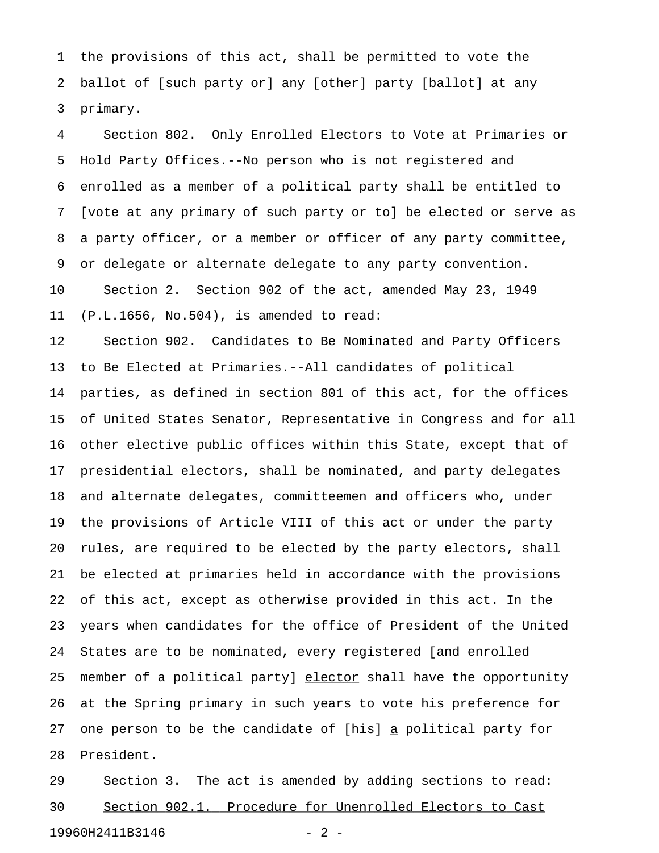1 the provisions of this act, shall be permitted to vote the 2 ballot of [such party or] any [other] party [ballot] at any 3 primary.

4 Section 802. Only Enrolled Electors to Vote at Primaries or 5 Hold Party Offices.--No person who is not registered and 6 enrolled as a member of a political party shall be entitled to 7 [vote at any primary of such party or to] be elected or serve as 8 a party officer, or a member or officer of any party committee, 9 or delegate or alternate delegate to any party convention. 10 Section 2. Section 902 of the act, amended May 23, 1949

11 (P.L.1656, No.504), is amended to read:

12 Section 902. Candidates to Be Nominated and Party Officers 13 to Be Elected at Primaries.--All candidates of political 14 parties, as defined in section 801 of this act, for the offices 15 of United States Senator, Representative in Congress and for all 16 other elective public offices within this State, except that of 17 presidential electors, shall be nominated, and party delegates 18 and alternate delegates, committeemen and officers who, under 19 the provisions of Article VIII of this act or under the party 20 rules, are required to be elected by the party electors, shall 21 be elected at primaries held in accordance with the provisions 22 of this act, except as otherwise provided in this act. In the 23 years when candidates for the office of President of the United 24 States are to be nominated, every registered [and enrolled 25 member of a political party] elector shall have the opportunity 26 at the Spring primary in such years to vote his preference for 27 one person to be the candidate of [his] a political party for 28 President.

29 Section 3. The act is amended by adding sections to read: 30 Section 902.1. Procedure for Unenrolled Electors to Cast 19960H2411B3146 - 2 -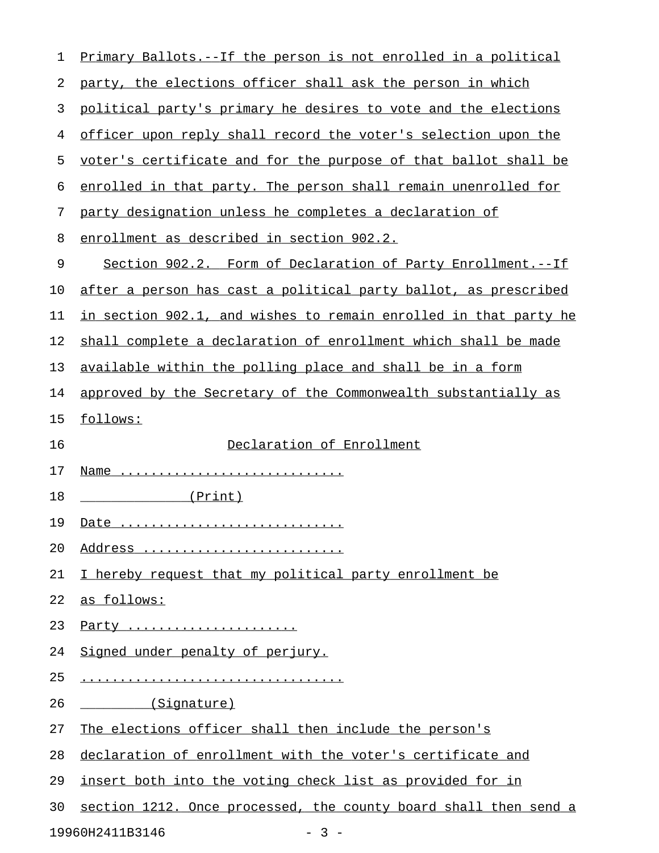| 1  | Primary Ballots.--If the person is not enrolled in a political          |
|----|-------------------------------------------------------------------------|
| 2  | party, the elections officer shall ask the person in which              |
| 3  | political party's primary he desires to vote and the elections          |
| 4  | officer upon reply shall record the voter's selection upon the          |
| 5  | voter's certificate and for the purpose of that ballot shall be         |
| 6  | enrolled in that party. The person shall remain unenrolled for          |
| 7  | party designation unless he completes a declaration of                  |
| 8  | enrollment as described in section 902.2.                               |
| 9  | Section 902.2. Form of Declaration of Party Enrollment.--If             |
| 10 | after a person has cast a political party ballot, as prescribed         |
| 11 | <u>in section 902.1, and wishes to remain enrolled in that party he</u> |
| 12 | shall complete a declaration of enrollment which shall be made          |
| 13 | available within the polling place and shall be in a form               |
| 14 | approved by the Secretary of the Commonwealth substantially as          |
| 15 | follows:                                                                |
| 16 | Declaration of Enrollment                                               |
| 17 | Name                                                                    |
| 18 | (Print)                                                                 |
| 19 | Date                                                                    |
| 20 | Address                                                                 |
| 21 | I hereby request that my political party enrollment be                  |
| 22 | as follows:                                                             |
| 23 | Party                                                                   |
| 24 | Signed under penalty of perjury.                                        |
| 25 |                                                                         |
| 26 | (Signature)                                                             |
| 27 | The elections officer shall then include the person's                   |
| 28 | declaration of enrollment with the voter's certificate and              |
| 29 | insert both into the voting check list as provided for in               |
| 30 | section 1212. Once processed, the county board shall then send a        |
|    | 19960H2411B3146<br>$-3 -$                                               |